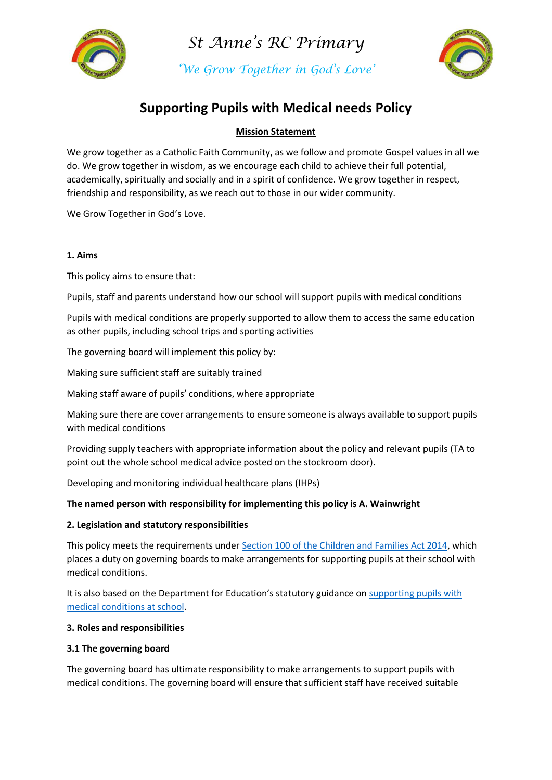

*'We Grow Together in God's Love'*



# **Supporting Pupils with Medical needs Policy**

# **Mission Statement**

We grow together as a Catholic Faith Community, as we follow and promote Gospel values in all we do. We grow together in wisdom, as we encourage each child to achieve their full potential, academically, spiritually and socially and in a spirit of confidence. We grow together in respect, friendship and responsibility, as we reach out to those in our wider community.

We Grow Together in God's Love.

### **1. Aims**

This policy aims to ensure that:

Pupils, staff and parents understand how our school will support pupils with medical conditions

Pupils with medical conditions are properly supported to allow them to access the same education as other pupils, including school trips and sporting activities

The governing board will implement this policy by:

Making sure sufficient staff are suitably trained

Making staff aware of pupils' conditions, where appropriate

Making sure there are cover arrangements to ensure someone is always available to support pupils with medical conditions

Providing supply teachers with appropriate information about the policy and relevant pupils (TA to point out the whole school medical advice posted on the stockroom door).

Developing and monitoring individual healthcare plans (IHPs)

# **The named person with responsibility for implementing this policy is A. Wainwright**

# **2. Legislation and statutory responsibilities**

This policy meets the requirements under [Section 100 of the Children and Families Act 2014,](http://www.legislation.gov.uk/ukpga/2014/6/part/5/crossheading/pupils-with-medical-conditions) which places a duty on governing boards to make arrangements for supporting pupils at their school with medical conditions.

It is also based on the Department for Education's statutory guidance on [supporting pupils with](https://www.gov.uk/government/publications/supporting-pupils-at-school-with-medical-conditions--3)  [medical conditions at school.](https://www.gov.uk/government/publications/supporting-pupils-at-school-with-medical-conditions--3)

### **3. Roles and responsibilities**

### **3.1 The governing board**

The governing board has ultimate responsibility to make arrangements to support pupils with medical conditions. The governing board will ensure that sufficient staff have received suitable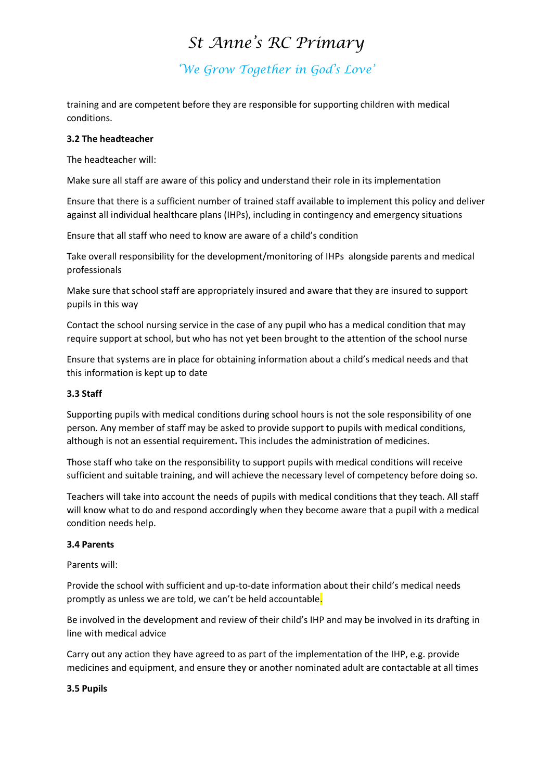*'We Grow Together in God's Love'*

training and are competent before they are responsible for supporting children with medical conditions.

#### **3.2 The headteacher**

The headteacher will:

Make sure all staff are aware of this policy and understand their role in its implementation

Ensure that there is a sufficient number of trained staff available to implement this policy and deliver against all individual healthcare plans (IHPs), including in contingency and emergency situations

Ensure that all staff who need to know are aware of a child's condition

Take overall responsibility for the development/monitoring of IHPs alongside parents and medical professionals

Make sure that school staff are appropriately insured and aware that they are insured to support pupils in this way

Contact the school nursing service in the case of any pupil who has a medical condition that may require support at school, but who has not yet been brought to the attention of the school nurse

Ensure that systems are in place for obtaining information about a child's medical needs and that this information is kept up to date

#### **3.3 Staff**

Supporting pupils with medical conditions during school hours is not the sole responsibility of one person. Any member of staff may be asked to provide support to pupils with medical conditions, although is not an essential requirement**.** This includes the administration of medicines.

Those staff who take on the responsibility to support pupils with medical conditions will receive sufficient and suitable training, and will achieve the necessary level of competency before doing so.

Teachers will take into account the needs of pupils with medical conditions that they teach. All staff will know what to do and respond accordingly when they become aware that a pupil with a medical condition needs help.

#### **3.4 Parents**

Parents will:

Provide the school with sufficient and up-to-date information about their child's medical needs promptly as unless we are told, we can't be held accountable.

Be involved in the development and review of their child's IHP and may be involved in its drafting in line with medical advice

Carry out any action they have agreed to as part of the implementation of the IHP, e.g. provide medicines and equipment, and ensure they or another nominated adult are contactable at all times

#### **3.5 Pupils**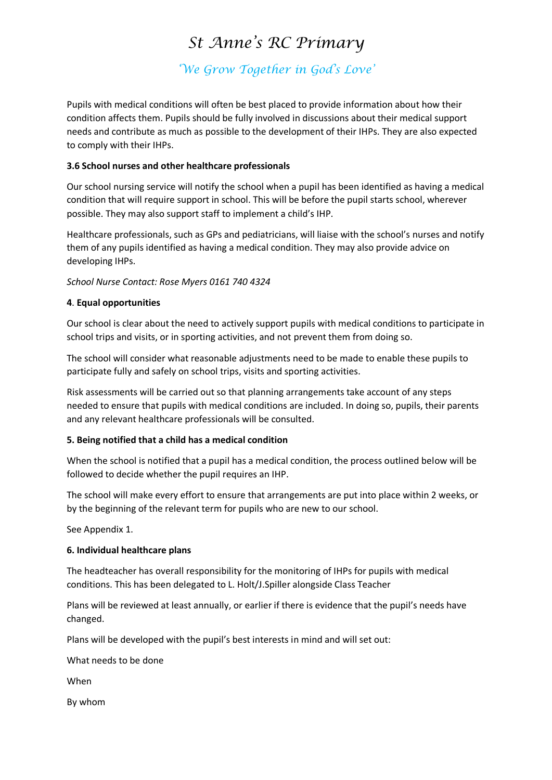*'We Grow Together in God's Love'*

Pupils with medical conditions will often be best placed to provide information about how their condition affects them. Pupils should be fully involved in discussions about their medical support needs and contribute as much as possible to the development of their IHPs. They are also expected to comply with their IHPs.

### **3.6 School nurses and other healthcare professionals**

Our school nursing service will notify the school when a pupil has been identified as having a medical condition that will require support in school. This will be before the pupil starts school, wherever possible. They may also support staff to implement a child's IHP.

Healthcare professionals, such as GPs and pediatricians, will liaise with the school's nurses and notify them of any pupils identified as having a medical condition. They may also provide advice on developing IHPs.

*School Nurse Contact: Rose Myers 0161 740 4324*

# **4**. **Equal opportunities**

Our school is clear about the need to actively support pupils with medical conditions to participate in school trips and visits, or in sporting activities, and not prevent them from doing so.

The school will consider what reasonable adjustments need to be made to enable these pupils to participate fully and safely on school trips, visits and sporting activities.

Risk assessments will be carried out so that planning arrangements take account of any steps needed to ensure that pupils with medical conditions are included. In doing so, pupils, their parents and any relevant healthcare professionals will be consulted.

### **5. Being notified that a child has a medical condition**

When the school is notified that a pupil has a medical condition, the process outlined below will be followed to decide whether the pupil requires an IHP.

The school will make every effort to ensure that arrangements are put into place within 2 weeks, or by the beginning of the relevant term for pupils who are new to our school.

See Appendix 1.

### **6. Individual healthcare plans**

The headteacher has overall responsibility for the monitoring of IHPs for pupils with medical conditions. This has been delegated to L. Holt/J.Spiller alongside Class Teacher

Plans will be reviewed at least annually, or earlier if there is evidence that the pupil's needs have changed.

Plans will be developed with the pupil's best interests in mind and will set out:

What needs to be done

When

By whom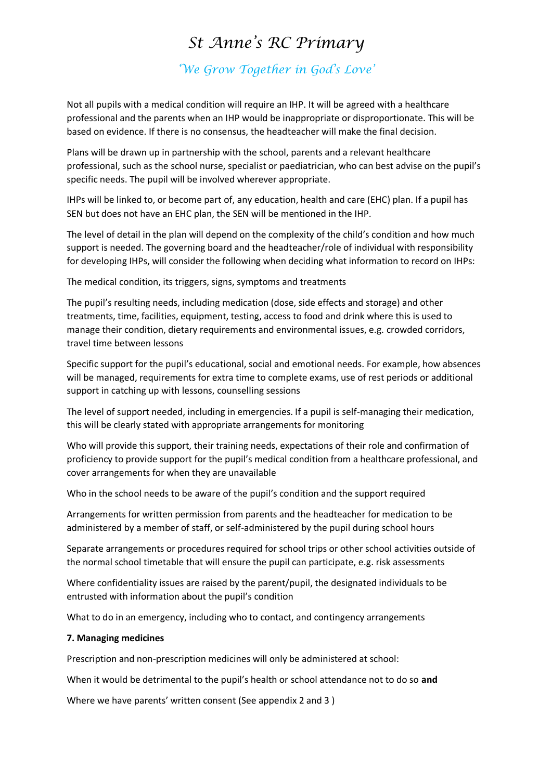*'We Grow Together in God's Love'*

Not all pupils with a medical condition will require an IHP. It will be agreed with a healthcare professional and the parents when an IHP would be inappropriate or disproportionate. This will be based on evidence. If there is no consensus, the headteacher will make the final decision.

Plans will be drawn up in partnership with the school, parents and a relevant healthcare professional, such as the school nurse, specialist or paediatrician, who can best advise on the pupil's specific needs. The pupil will be involved wherever appropriate.

IHPs will be linked to, or become part of, any education, health and care (EHC) plan. If a pupil has SEN but does not have an EHC plan, the SEN will be mentioned in the IHP.

The level of detail in the plan will depend on the complexity of the child's condition and how much support is needed. The governing board and the headteacher/role of individual with responsibility for developing IHPs, will consider the following when deciding what information to record on IHPs:

The medical condition, its triggers, signs, symptoms and treatments

The pupil's resulting needs, including medication (dose, side effects and storage) and other treatments, time, facilities, equipment, testing, access to food and drink where this is used to manage their condition, dietary requirements and environmental issues, e.g. crowded corridors, travel time between lessons

Specific support for the pupil's educational, social and emotional needs. For example, how absences will be managed, requirements for extra time to complete exams, use of rest periods or additional support in catching up with lessons, counselling sessions

The level of support needed, including in emergencies. If a pupil is self-managing their medication, this will be clearly stated with appropriate arrangements for monitoring

Who will provide this support, their training needs, expectations of their role and confirmation of proficiency to provide support for the pupil's medical condition from a healthcare professional, and cover arrangements for when they are unavailable

Who in the school needs to be aware of the pupil's condition and the support required

Arrangements for written permission from parents and the headteacher for medication to be administered by a member of staff, or self-administered by the pupil during school hours

Separate arrangements or procedures required for school trips or other school activities outside of the normal school timetable that will ensure the pupil can participate, e.g. risk assessments

Where confidentiality issues are raised by the parent/pupil, the designated individuals to be entrusted with information about the pupil's condition

What to do in an emergency, including who to contact, and contingency arrangements

#### **7. Managing medicines**

Prescription and non-prescription medicines will only be administered at school:

When it would be detrimental to the pupil's health or school attendance not to do so **and**

Where we have parents' written consent (See appendix 2 and 3 )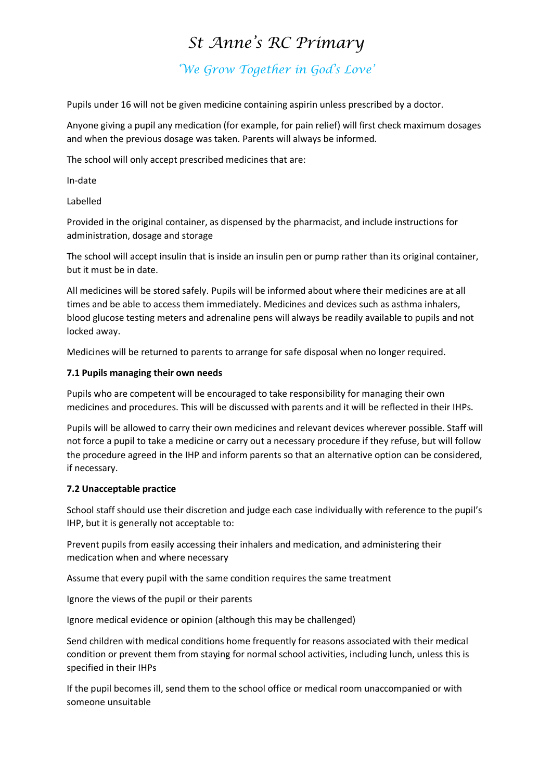*'We Grow Together in God's Love'*

Pupils under 16 will not be given medicine containing aspirin unless prescribed by a doctor.

Anyone giving a pupil any medication (for example, for pain relief) will first check maximum dosages and when the previous dosage was taken. Parents will always be informed.

The school will only accept prescribed medicines that are:

In-date

Labelled

Provided in the original container, as dispensed by the pharmacist, and include instructions for administration, dosage and storage

The school will accept insulin that is inside an insulin pen or pump rather than its original container, but it must be in date.

All medicines will be stored safely. Pupils will be informed about where their medicines are at all times and be able to access them immediately. Medicines and devices such as asthma inhalers, blood glucose testing meters and adrenaline pens will always be readily available to pupils and not locked away.

Medicines will be returned to parents to arrange for safe disposal when no longer required.

#### **7.1 Pupils managing their own needs**

Pupils who are competent will be encouraged to take responsibility for managing their own medicines and procedures. This will be discussed with parents and it will be reflected in their IHPs.

Pupils will be allowed to carry their own medicines and relevant devices wherever possible. Staff will not force a pupil to take a medicine or carry out a necessary procedure if they refuse, but will follow the procedure agreed in the IHP and inform parents so that an alternative option can be considered, if necessary.

### **7.2 Unacceptable practice**

School staff should use their discretion and judge each case individually with reference to the pupil's IHP, but it is generally not acceptable to:

Prevent pupils from easily accessing their inhalers and medication, and administering their medication when and where necessary

Assume that every pupil with the same condition requires the same treatment

Ignore the views of the pupil or their parents

Ignore medical evidence or opinion (although this may be challenged)

Send children with medical conditions home frequently for reasons associated with their medical condition or prevent them from staying for normal school activities, including lunch, unless this is specified in their IHPs

If the pupil becomes ill, send them to the school office or medical room unaccompanied or with someone unsuitable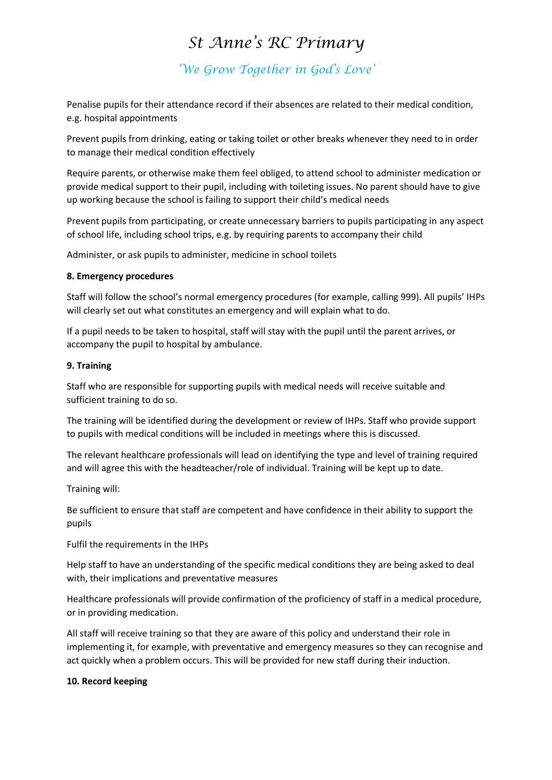*'We Grow Together in God's Love'*

Penalise pupils for their attendance record if their absences are related to their medical condition, e.g. hospital appointments

Prevent pupils from drinking, eating or taking toilet or other breaks whenever they need to in order to manage their medical condition effectively

Require parents, or otherwise make them feel obliged, to attend school to administer medication or provide medical support to their pupil, including with toileting issues. No parent should have to give up working because the school is failing to support their child's medical needs

Prevent pupils from participating, or create unnecessary barriers to pupils participating in any aspect of school life, including school trips, e.g. by requiring parents to accompany their child

Administer, or ask pupils to administer, medicine in school toilets

#### **8. Emergency procedures**

Staff will follow the school's normal emergency procedures (for example, calling 999). All pupils' IHPs will clearly set out what constitutes an emergency and will explain what to do.

If a pupil needs to be taken to hospital, staff will stay with the pupil until the parent arrives, or accompany the pupil to hospital by ambulance.

#### **9. Training**

Staff who are responsible for supporting pupils with medical needs will receive suitable and sufficient training to do so.

The training will be identified during the development or review of IHPs. Staff who provide support to pupils with medical conditions will be included in meetings where this is discussed.

The relevant healthcare professionals will lead on identifying the type and level of training required and will agree this with the headteacher/role of individual. Training will be kept up to date.

Training will:

Be sufficient to ensure that staff are competent and have confidence in their ability to support the pupils

Fulfil the requirements in the IHPs

Help staff to have an understanding of the specific medical conditions they are being asked to deal with, their implications and preventative measures

Healthcare professionals will provide confirmation of the proficiency of staff in a medical procedure, or in providing medication.

All staff will receive training so that they are aware of this policy and understand their role in implementing it, for example, with preventative and emergency measures so they can recognise and act quickly when a problem occurs. This will be provided for new staff during their induction.

### **10. Record keeping**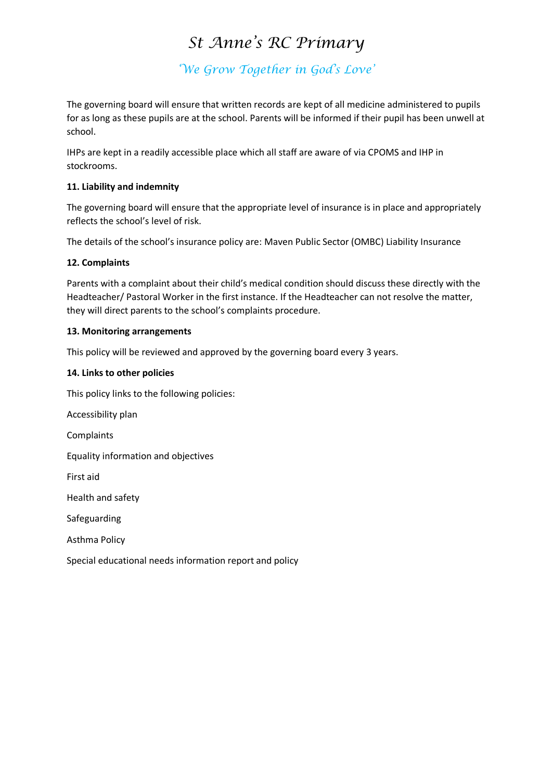*'We Grow Together in God's Love'*

The governing board will ensure that written records are kept of all medicine administered to pupils for as long as these pupils are at the school. Parents will be informed if their pupil has been unwell at school.

IHPs are kept in a readily accessible place which all staff are aware of via CPOMS and IHP in stockrooms.

## **11. Liability and indemnity**

The governing board will ensure that the appropriate level of insurance is in place and appropriately reflects the school's level of risk.

The details of the school's insurance policy are: Maven Public Sector (OMBC) Liability Insurance

# **12. Complaints**

Parents with a complaint about their child's medical condition should discuss these directly with the Headteacher/ Pastoral Worker in the first instance. If the Headteacher can not resolve the matter, they will direct parents to the school's complaints procedure.

### **13. Monitoring arrangements**

This policy will be reviewed and approved by the governing board every 3 years.

### **14. Links to other policies**

This policy links to the following policies:

Accessibility plan

**Complaints** 

Equality information and objectives

First aid

Health and safety

Safeguarding

Asthma Policy

Special educational needs information report and policy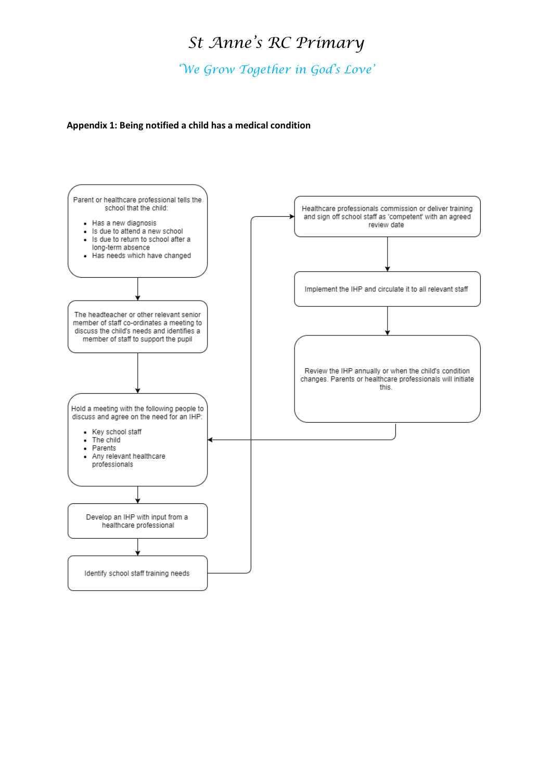*'We Grow Together in God's Love'*

#### **Appendix 1: Being notified a child has a medical condition**

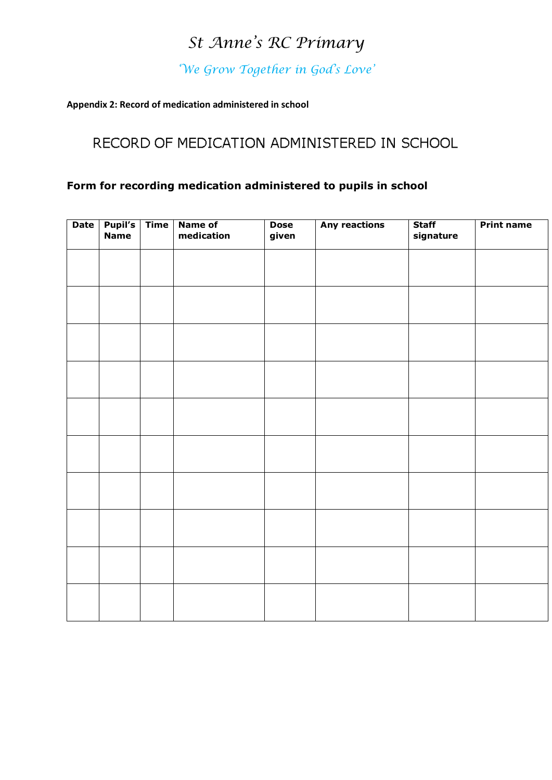*'We Grow Together in God's Love'*

### **Appendix 2: Record of medication administered in school**

# RECORD OF MEDICATION ADMINISTERED IN SCHOOL

# **Form for recording medication administered to pupils in school**

| Date | <b>Pupil's</b><br><b>Name</b> | <b>Time</b> | Name of<br>medication | <b>Dose</b><br>given | <b>Any reactions</b> | <b>Staff</b><br>signature | <b>Print name</b> |
|------|-------------------------------|-------------|-----------------------|----------------------|----------------------|---------------------------|-------------------|
|      |                               |             |                       |                      |                      |                           |                   |
|      |                               |             |                       |                      |                      |                           |                   |
|      |                               |             |                       |                      |                      |                           |                   |
|      |                               |             |                       |                      |                      |                           |                   |
|      |                               |             |                       |                      |                      |                           |                   |
|      |                               |             |                       |                      |                      |                           |                   |
|      |                               |             |                       |                      |                      |                           |                   |
|      |                               |             |                       |                      |                      |                           |                   |
|      |                               |             |                       |                      |                      |                           |                   |
|      |                               |             |                       |                      |                      |                           |                   |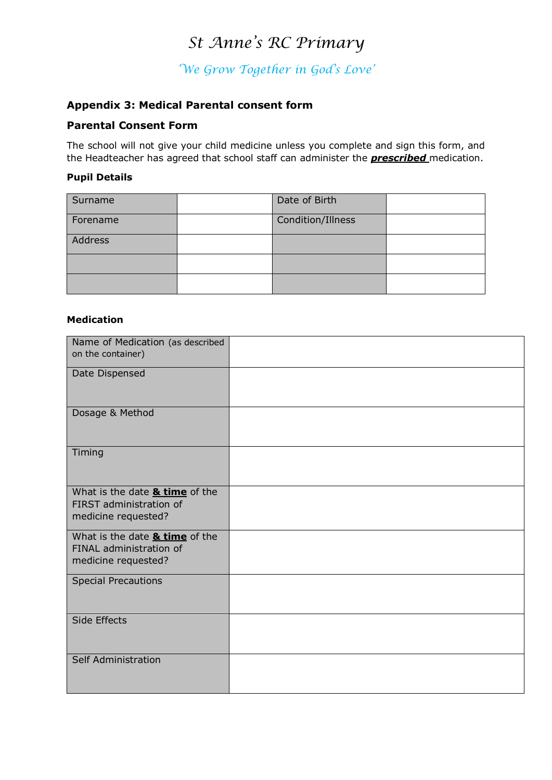*'We Grow Together in God's Love'*

# **Appendix 3: Medical Parental consent form**

## **Parental Consent Form**

The school will not give your child medicine unless you complete and sign this form, and the Headteacher has agreed that school staff can administer the *prescribed* medication.

## **Pupil Details**

| Surname  | Date of Birth     |  |
|----------|-------------------|--|
| Forename | Condition/Illness |  |
| Address  |                   |  |
|          |                   |  |
|          |                   |  |

#### **Medication**

| Name of Medication (as described<br>on the container)                                       |  |
|---------------------------------------------------------------------------------------------|--|
| Date Dispensed                                                                              |  |
| Dosage & Method                                                                             |  |
| Timing                                                                                      |  |
| What is the date <b>&amp; time</b> of the<br>FIRST administration of<br>medicine requested? |  |
| What is the date & time of the<br>FINAL administration of<br>medicine requested?            |  |
| <b>Special Precautions</b>                                                                  |  |
| Side Effects                                                                                |  |
| Self Administration                                                                         |  |